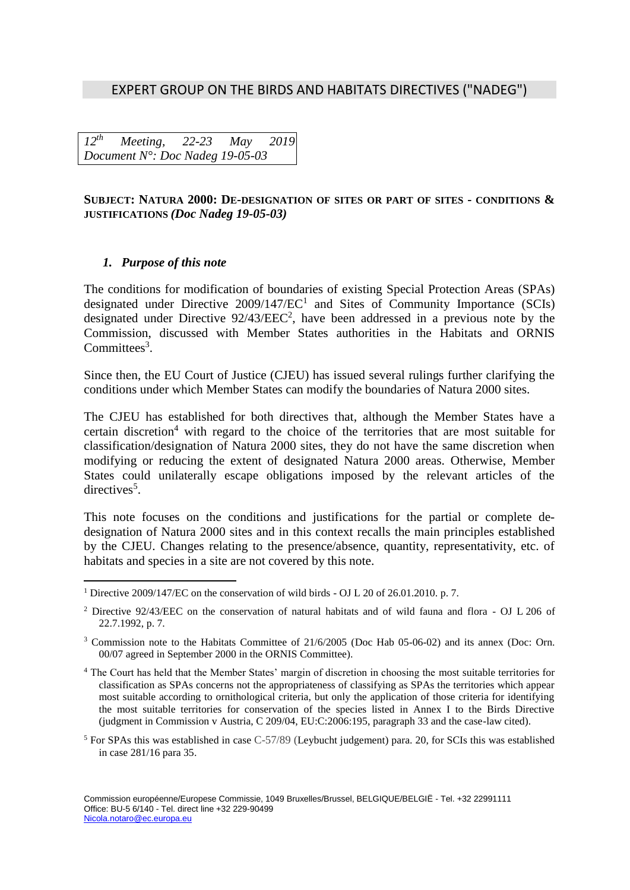# EXPERT GROUP ON THE BIRDS AND HABITATS DIRECTIVES ("NADEG")

*12 th Meeting, 22-23 May 2019 Document N°: Doc Nadeg 19-05-03*

### **SUBJECT: NATURA 2000: DE-DESIGNATION OF SITES OR PART OF SITES - CONDITIONS & JUSTIFICATIONS** *(Doc Nadeg 19-05-03)*

### *1. Purpose of this note*

 $\overline{a}$ 

The conditions for modification of boundaries of existing Special Protection Areas (SPAs) designated under Directive  $2009/147/EC<sup>1</sup>$  and Sites of Community Importance (SCIs) designated under Directive  $92/43/EEC<sup>2</sup>$ , have been addressed in a previous note by the Commission, discussed with Member States authorities in the Habitats and ORNIS Committees<sup>3</sup>.

Since then, the EU Court of Justice (CJEU) has issued several rulings further clarifying the conditions under which Member States can modify the boundaries of Natura 2000 sites.

The CJEU has established for both directives that, although the Member States have a certain discretion<sup>4</sup> with regard to the choice of the territories that are most suitable for classification/designation of Natura 2000 sites, they do not have the same discretion when modifying or reducing the extent of designated Natura 2000 areas. Otherwise, Member States could unilaterally escape obligations imposed by the relevant articles of the directives<sup>5</sup>.

This note focuses on the conditions and justifications for the partial or complete dedesignation of Natura 2000 sites and in this context recalls the main principles established by the CJEU. Changes relating to the presence/absence, quantity, representativity, etc. of habitats and species in a site are not covered by this note.

<sup>1</sup> Directive 2009/147/EC on the conservation of wild birds - OJ L 20 of 26.01.2010. p. 7.

<sup>2</sup> Directive 92/43/EEC on the conservation of natural habitats and of wild fauna and flora - OJ L 206 of 22.7.1992, p. 7.

<sup>&</sup>lt;sup>3</sup> Commission note to the Habitats Committee of 21/6/2005 (Doc Hab 05-06-02) and its annex (Doc: Orn. 00/07 agreed in September 2000 in the ORNIS Committee).

<sup>4</sup> The Court has held that the Member States' margin of discretion in choosing the most suitable territories for classification as SPAs concerns not the appropriateness of classifying as SPAs the territories which appear most suitable according to ornithological criteria, but only the application of those criteria for identifying the most suitable territories for conservation of the species listed in Annex I to the Birds Directive (judgment in Commission v Austria, C 209/04, EU:C:2006:195, paragraph 33 and the case-law cited).

<sup>5</sup> For SPAs this was established in case C-57/89 (Leybucht judgement) para. 20, for SCIs this was established in case 281/16 para 35.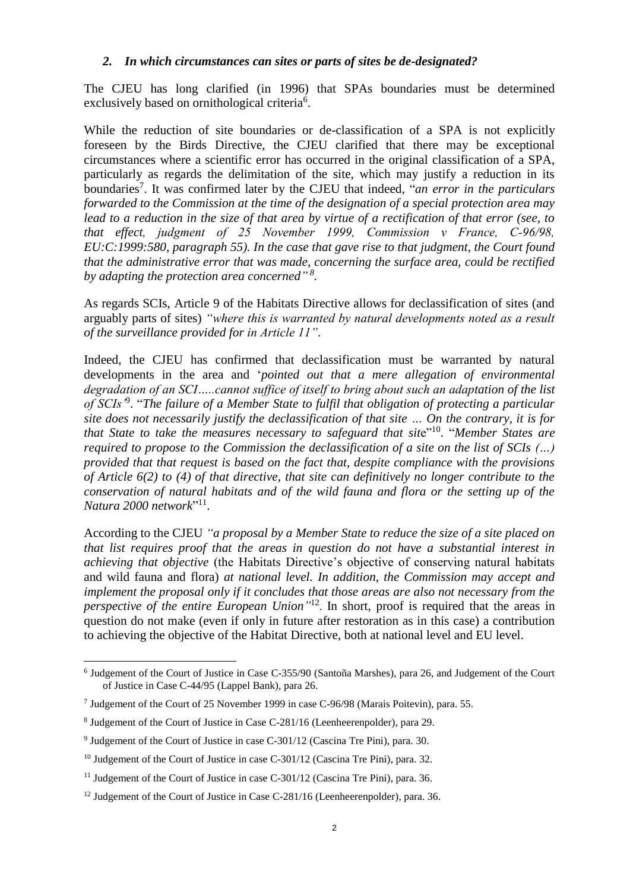### *2. In which circumstances can sites or parts of sites be de-designated?*

The CJEU has long clarified (in 1996) that SPAs boundaries must be determined exclusively based on ornithological criteria<sup>6</sup>.

While the reduction of site boundaries or de-classification of a SPA is not explicitly foreseen by the Birds Directive, the CJEU clarified that there may be exceptional circumstances where a scientific error has occurred in the original classification of a SPA, particularly as regards the delimitation of the site, which may justify a reduction in its boundaries<sup>7</sup>. It was confirmed later by the CJEU that indeed, "*an error in the particulars forwarded to the Commission at the time of the designation of a special protection area may lead to a reduction in the size of that area by virtue of a rectification of that error (see, to that effect, judgment of 25 November 1999, Commission v France, C‑96/98, EU:C:1999:580, paragraph 55). In the case that gave rise to that judgment, the Court found that the administrative error that was made, concerning the surface area, could be rectified by adapting the protection area concerned" 8 .*

As regards SCIs, Article 9 of the Habitats Directive allows for declassification of sites (and arguably parts of sites) *"where this is warranted by natural developments noted as a result of the surveillance provided for in Article 11"*.

Indeed, the CJEU has confirmed that declassification must be warranted by natural developments in the area and '*pointed out that a mere allegation of environmental degradation of an SCI…..cannot suffice of itself to bring about such an adaptation of the list of SCIs'*<sup>9</sup> . "*The failure of a Member State to fulfil that obligation of protecting a particular site does not necessarily justify the declassification of that site … On the contrary, it is for*  that State to take the measures necessary to safeguard that site<sup>"10</sup>. "Member States are *required to propose to the Commission the declassification of a site on the list of SCIs (…) provided that that request is based on the fact that, despite compliance with the provisions of Article 6(2) to (4) of that directive, that site can definitively no longer contribute to the conservation of natural habitats and of the wild fauna and flora or the setting up of the Natura 2000 network*" 11 .

According to the CJEU *"a proposal by a Member State to reduce the size of a site placed on that list requires proof that the areas in question do not have a substantial interest in achieving that objective* (the Habitats Directive's objective of conserving natural habitats and wild fauna and flora) *at national level. In addition, the Commission may accept and implement the proposal only if it concludes that those areas are also not necessary from the perspective of the entire European Union"* 12 . In short, proof is required that the areas in question do not make (even if only in future after restoration as in this case) a contribution to achieving the objective of the Habitat Directive, both at national level and EU level.

 $\overline{a}$ 

<sup>&</sup>lt;sup>6</sup> Judgement of the Court of Justice in Case C-355/90 (Santoña Marshes), para 26, and Judgement of the Court of Justice in Case C-44/95 (Lappel Bank), para 26.

<sup>7</sup> Judgement of the Court of 25 November 1999 in case C-96/98 (Marais Poitevin), para. 55.

<sup>&</sup>lt;sup>8</sup> Judgement of the Court of Justice in Case C-281/16 (Leenheerenpolder), para 29.

<sup>&</sup>lt;sup>9</sup> Judgement of the Court of Justice in case C-301/12 (Cascina Tre Pini), para. 30.

<sup>&</sup>lt;sup>10</sup> Judgement of the Court of Justice in case C-301/12 (Cascina Tre Pini), para. 32.

<sup>&</sup>lt;sup>11</sup> Judgement of the Court of Justice in case C-301/12 (Cascina Tre Pini), para. 36.

 $12$  Judgement of the Court of Justice in Case C-281/16 (Leenheerenpolder), para. 36.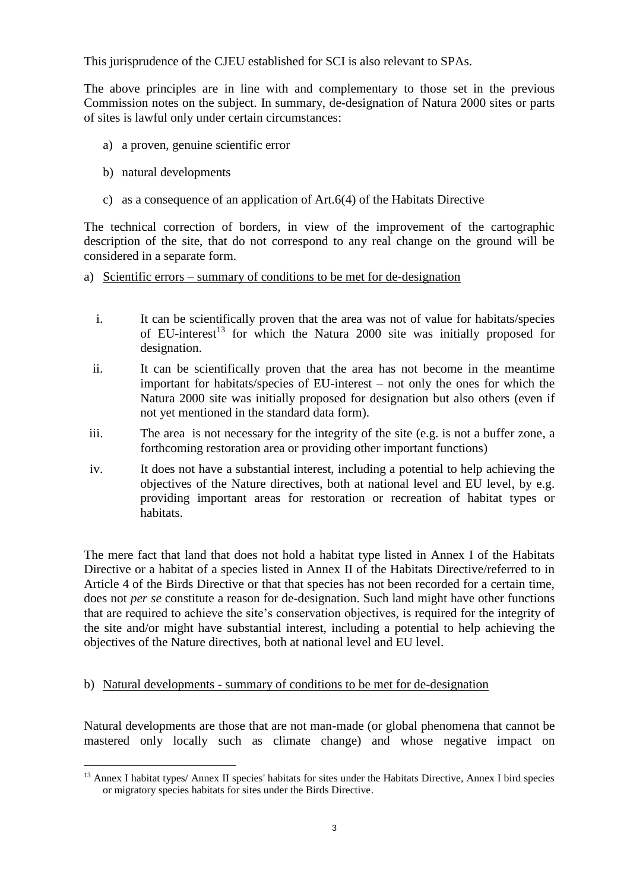This jurisprudence of the CJEU established for SCI is also relevant to SPAs.

The above principles are in line with and complementary to those set in the previous Commission notes on the subject. In summary, de-designation of Natura 2000 sites or parts of sites is lawful only under certain circumstances:

- a) a proven, genuine scientific error
- b) natural developments
- c) as a consequence of an application of Art.6(4) of the Habitats Directive

The technical correction of borders, in view of the improvement of the cartographic description of the site, that do not correspond to any real change on the ground will be considered in a separate form.

- a) Scientific errors summary of conditions to be met for de-designation
	- i. It can be scientifically proven that the area was not of value for habitats/species of EU-interest<sup>13</sup> for which the Natura 2000 site was initially proposed for designation.
	- ii. It can be scientifically proven that the area has not become in the meantime important for habitats/species of EU-interest – not only the ones for which the Natura 2000 site was initially proposed for designation but also others (even if not yet mentioned in the standard data form).
- iii. The area is not necessary for the integrity of the site (e.g. is not a buffer zone, a forthcoming restoration area or providing other important functions)
- iv. It does not have a substantial interest, including a potential to help achieving the objectives of the Nature directives, both at national level and EU level, by e.g. providing important areas for restoration or recreation of habitat types or habitats.

The mere fact that land that does not hold a habitat type listed in Annex I of the Habitats Directive or a habitat of a species listed in Annex II of the Habitats Directive/referred to in Article 4 of the Birds Directive or that that species has not been recorded for a certain time, does not *per se* constitute a reason for de-designation. Such land might have other functions that are required to achieve the site's conservation objectives, is required for the integrity of the site and/or might have substantial interest, including a potential to help achieving the objectives of the Nature directives, both at national level and EU level.

# b) Natural developments - summary of conditions to be met for de-designation

Natural developments are those that are not man-made (or global phenomena that cannot be mastered only locally such as climate change) and whose negative impact on

 $\overline{a}$ <sup>13</sup> Annex I habitat types/ Annex II species' habitats for sites under the Habitats Directive, Annex I bird species or migratory species habitats for sites under the Birds Directive.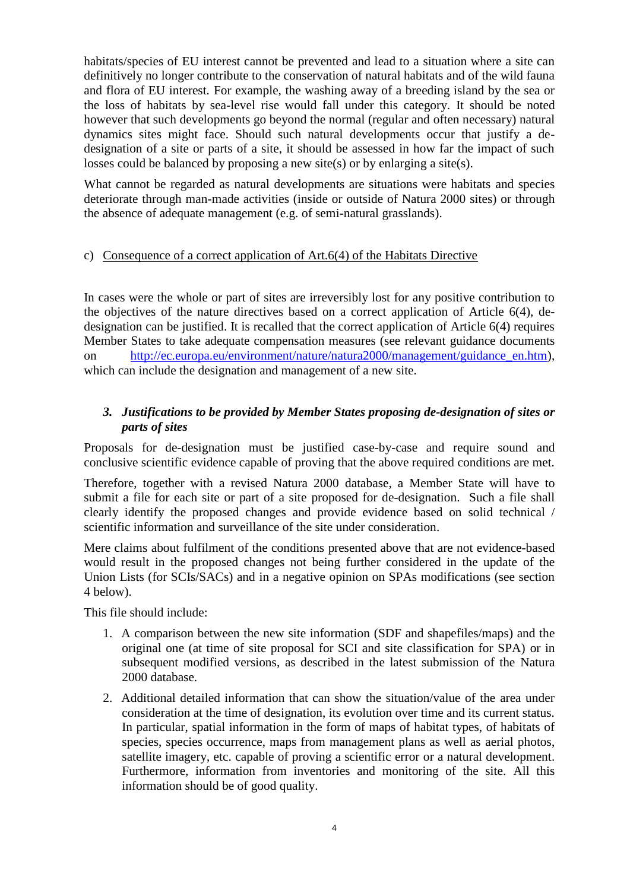habitats/species of EU interest cannot be prevented and lead to a situation where a site can definitively no longer contribute to the conservation of natural habitats and of the wild fauna and flora of EU interest. For example, the washing away of a breeding island by the sea or the loss of habitats by sea-level rise would fall under this category. It should be noted however that such developments go beyond the normal (regular and often necessary) natural dynamics sites might face. Should such natural developments occur that justify a dedesignation of a site or parts of a site, it should be assessed in how far the impact of such losses could be balanced by proposing a new site(s) or by enlarging a site(s).

What cannot be regarded as natural developments are situations were habitats and species deteriorate through man-made activities (inside or outside of Natura 2000 sites) or through the absence of adequate management (e.g. of semi-natural grasslands).

### c) Consequence of a correct application of Art.6(4) of the Habitats Directive

In cases were the whole or part of sites are irreversibly lost for any positive contribution to the objectives of the nature directives based on a correct application of Article 6(4), dedesignation can be justified. It is recalled that the correct application of Article 6(4) requires Member States to take adequate compensation measures (see relevant guidance documents on [http://ec.europa.eu/environment/nature/natura2000/management/guidance\\_en.htm\)](http://ec.europa.eu/environment/nature/natura2000/management/guidance_en.htm), which can include the designation and management of a new site.

# *3. Justifications to be provided by Member States proposing de-designation of sites or parts of sites*

Proposals for de-designation must be justified case-by-case and require sound and conclusive scientific evidence capable of proving that the above required conditions are met.

Therefore, together with a revised Natura 2000 database, a Member State will have to submit a file for each site or part of a site proposed for de-designation. Such a file shall clearly identify the proposed changes and provide evidence based on solid technical / scientific information and surveillance of the site under consideration.

Mere claims about fulfilment of the conditions presented above that are not evidence-based would result in the proposed changes not being further considered in the update of the Union Lists (for SCIs/SACs) and in a negative opinion on SPAs modifications (see section 4 below).

This file should include:

- 1. A comparison between the new site information (SDF and shapefiles/maps) and the original one (at time of site proposal for SCI and site classification for SPA) or in subsequent modified versions, as described in the latest submission of the Natura 2000 database.
- 2. Additional detailed information that can show the situation/value of the area under consideration at the time of designation, its evolution over time and its current status. In particular, spatial information in the form of maps of habitat types, of habitats of species, species occurrence, maps from management plans as well as aerial photos, satellite imagery, etc. capable of proving a scientific error or a natural development. Furthermore, information from inventories and monitoring of the site. All this information should be of good quality.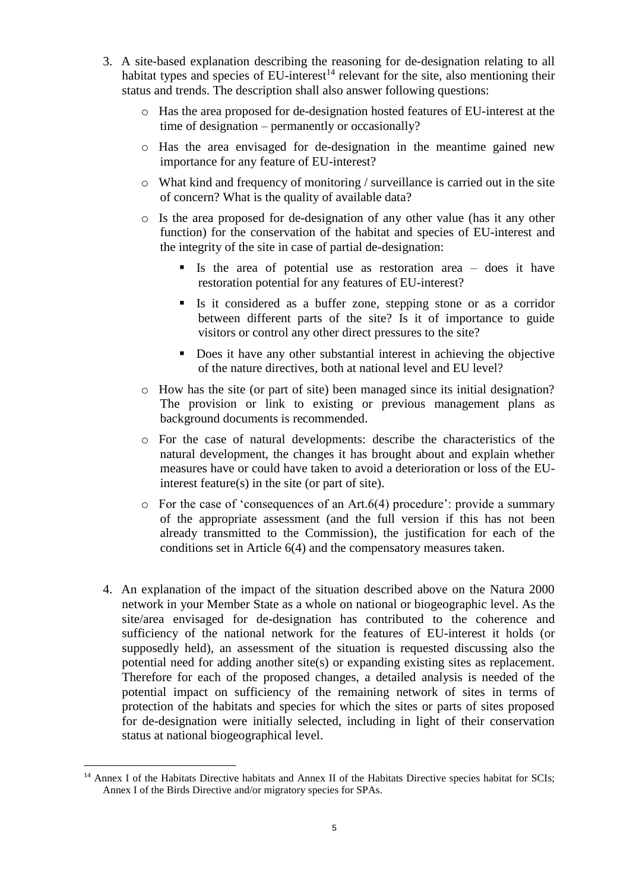- 3. A site-based explanation describing the reasoning for de-designation relating to all habitat types and species of  $EU$ -interest<sup>14</sup> relevant for the site, also mentioning their status and trends. The description shall also answer following questions:
	- o Has the area proposed for de-designation hosted features of EU-interest at the time of designation – permanently or occasionally?
	- o Has the area envisaged for de-designation in the meantime gained new importance for any feature of EU-interest?
	- $\circ$  What kind and frequency of monitoring / surveillance is carried out in the site of concern? What is the quality of available data?
	- o Is the area proposed for de-designation of any other value (has it any other function) for the conservation of the habitat and species of EU-interest and the integrity of the site in case of partial de-designation:
		- Is the area of potential use as restoration area does it have restoration potential for any features of EU-interest?
		- If Is it considered as a buffer zone, stepping stone or as a corridor between different parts of the site? Is it of importance to guide visitors or control any other direct pressures to the site?
		- Does it have any other substantial interest in achieving the objective of the nature directives, both at national level and EU level?
	- o How has the site (or part of site) been managed since its initial designation? The provision or link to existing or previous management plans as background documents is recommended.
	- o For the case of natural developments: describe the characteristics of the natural development, the changes it has brought about and explain whether measures have or could have taken to avoid a deterioration or loss of the EUinterest feature(s) in the site (or part of site).
	- $\circ$  For the case of 'consequences of an Art.6(4) procedure': provide a summary of the appropriate assessment (and the full version if this has not been already transmitted to the Commission), the justification for each of the conditions set in Article 6(4) and the compensatory measures taken.
- 4. An explanation of the impact of the situation described above on the Natura 2000 network in your Member State as a whole on national or biogeographic level. As the site/area envisaged for de-designation has contributed to the coherence and sufficiency of the national network for the features of EU-interest it holds (or supposedly held), an assessment of the situation is requested discussing also the potential need for adding another site(s) or expanding existing sites as replacement. Therefore for each of the proposed changes, a detailed analysis is needed of the potential impact on sufficiency of the remaining network of sites in terms of protection of the habitats and species for which the sites or parts of sites proposed for de-designation were initially selected, including in light of their conservation status at national biogeographical level.

 $\overline{a}$ <sup>14</sup> Annex I of the Habitats Directive habitats and Annex II of the Habitats Directive species habitat for SCIs; Annex I of the Birds Directive and/or migratory species for SPAs.